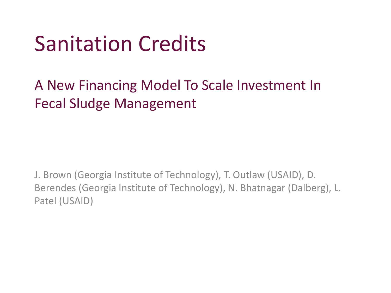# Sanitation Credits

A New Financing Model To Scale Investment In Fecal Sludge Management

J. Brown (Georgia Institute of Technology), T. Outlaw (USAID), D. Berendes (Georgia Institute of Technology), N. Bhatnagar (Dalberg), L. Patel (USAID)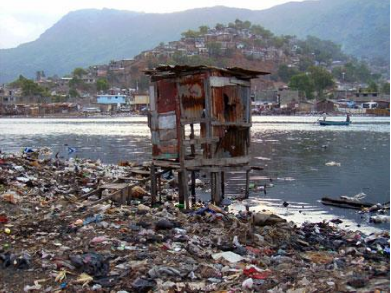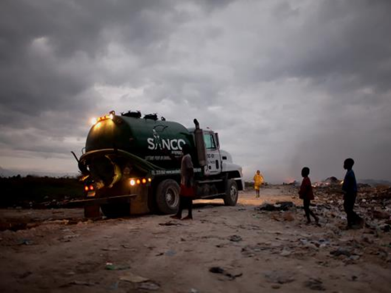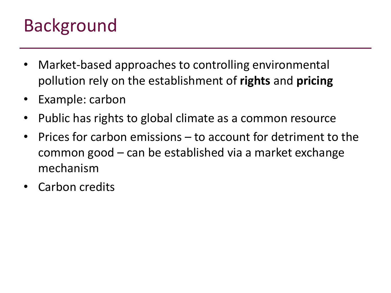# Background

- Market-based approaches to controlling environmental pollution rely on the establishment of **rights** and **pricing**
- Example: carbon
- Public has rights to global climate as a common resource
- Prices for carbon emissions to account for detriment to the common good – can be established via a market exchange mechanism
- Carbon credits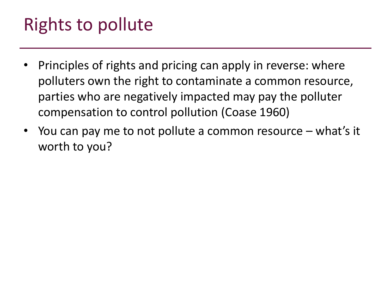# Rights to pollute

- Principles of rights and pricing can apply in reverse: where polluters own the right to contaminate a common resource, parties who are negatively impacted may pay the polluter compensation to control pollution (Coase 1960)
- You can pay me to not pollute a common resource what's it worth to you?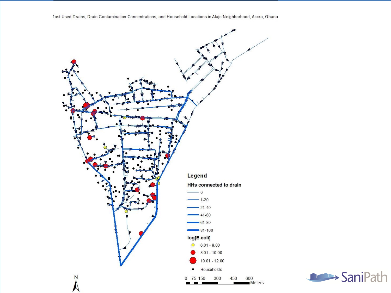

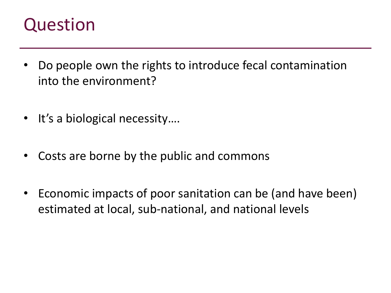#### Question

- Do people own the rights to introduce fecal contamination into the environment?
- It's a biological necessity....
- Costs are borne by the public and commons
- Economic impacts of poor sanitation can be (and have been) estimated at local, sub-national, and national levels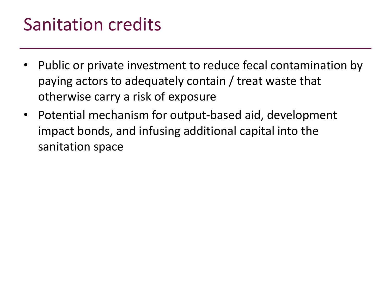#### Sanitation credits

- Public or private investment to reduce fecal contamination by paying actors to adequately contain / treat waste that otherwise carry a risk of exposure
- Potential mechanism for output-based aid, development impact bonds, and infusing additional capital into the sanitation space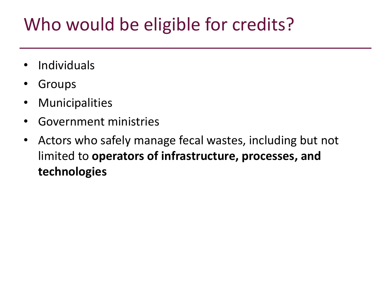# Who would be eligible for credits?

- **Individuals**
- Groups
- Municipalities
- Government ministries
- Actors who safely manage fecal wastes, including but not limited to **operators of infrastructure, processes, and technologies**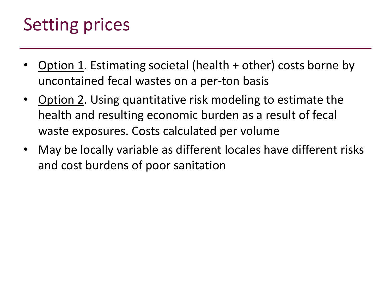# Setting prices

- Option 1. Estimating societal (health + other) costs borne by uncontained fecal wastes on a per-ton basis
- Option 2. Using quantitative risk modeling to estimate the health and resulting economic burden as a result of fecal waste exposures. Costs calculated per volume
- May be locally variable as different locales have different risks and cost burdens of poor sanitation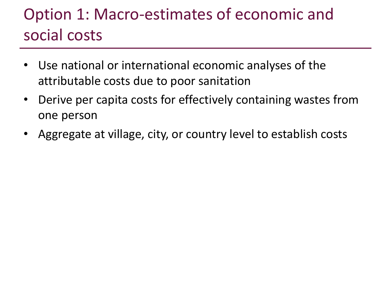#### Option 1: Macro-estimates of economic and social costs

- Use national or international economic analyses of the attributable costs due to poor sanitation
- Derive per capita costs for effectively containing wastes from one person
- Aggregate at village, city, or country level to establish costs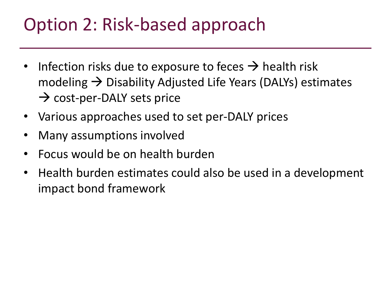## Option 2: Risk-based approach

- Infection risks due to exposure to feces  $\rightarrow$  health risk modeling  $\rightarrow$  Disability Adjusted Life Years (DALYs) estimates  $\rightarrow$  cost-per-DALY sets price
- Various approaches used to set per-DALY prices
- Many assumptions involved
- Focus would be on health burden
- Health burden estimates could also be used in a development impact bond framework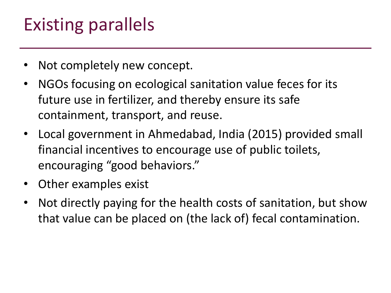## Existing parallels

- Not completely new concept.
- NGOs focusing on ecological sanitation value feces for its future use in fertilizer, and thereby ensure its safe containment, transport, and reuse.
- Local government in Ahmedabad, India (2015) provided small financial incentives to encourage use of public toilets, encouraging "good behaviors."
- Other examples exist
- Not directly paying for the health costs of sanitation, but show that value can be placed on (the lack of) fecal contamination.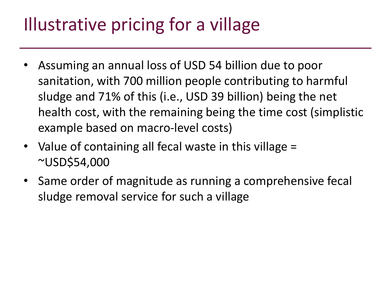# Illustrative pricing for a village

- Assuming an annual loss of USD 54 billion due to poor sanitation, with 700 million people contributing to harmful sludge and 71% of this (i.e., USD 39 billion) being the net health cost, with the remaining being the time cost (simplistic example based on macro-level costs)
- Value of containing all fecal waste in this village = ~USD\$54,000
- Same order of magnitude as running a comprehensive fecal sludge removal service for such a village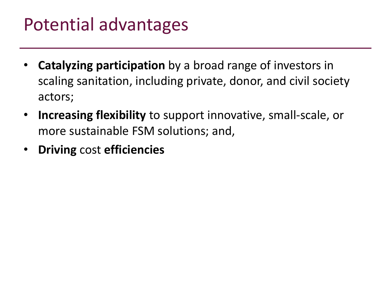#### Potential advantages

- **Catalyzing participation** by a broad range of investors in scaling sanitation, including private, donor, and civil society actors;
- **Increasing flexibility** to support innovative, small-scale, or more sustainable FSM solutions; and,
- **Driving** cost **efficiencies**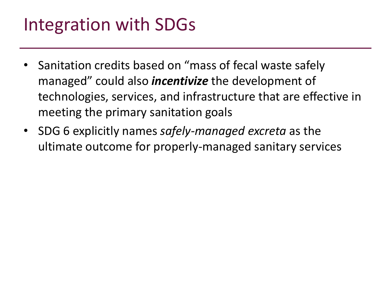# Integration with SDGs

- Sanitation credits based on "mass of fecal waste safely managed" could also *incentivize* the development of technologies, services, and infrastructure that are effective in meeting the primary sanitation goals
- SDG 6 explicitly names *safely-managed excreta* as the ultimate outcome for properly-managed sanitary services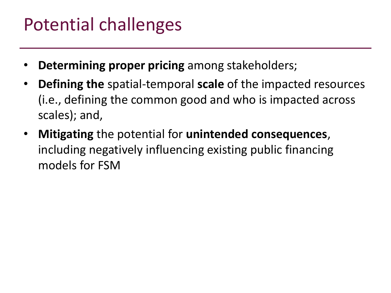## Potential challenges

- **Determining proper pricing** among stakeholders;
- **Defining the** spatial-temporal **scale** of the impacted resources (i.e., defining the common good and who is impacted across scales); and,
- **Mitigating** the potential for **unintended consequences**, including negatively influencing existing public financing models for FSM